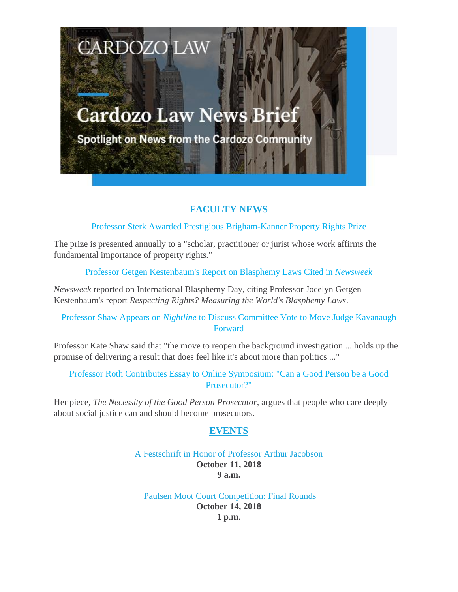# **Cardozo Law News Brief**

**CARDOZO LAW** 

**Spotlight on News from the Cardozo Community** 

## **FACULTY NEWS**

Professor Sterk Awarded Prestigious Brigham-Kanner Property Rights Prize

The prize is presented annually to a "scholar, practitioner or jurist whose work affirms the fundamental importance of property rights."

Professor Getgen Kestenbaum's Report on Blasphemy Laws Cited in *Newsweek*

*Newsweek* reported on International Blasphemy Day, citing Professor Jocelyn Getgen Kestenbaum's report *Respecting Rights? Measuring the World's Blasphemy Laws*.

Professor Shaw Appears on *Nightline* to Discuss Committee Vote to Move Judge Kavanaugh **Forward** 

Professor Kate Shaw said that "the move to reopen the background investigation ... holds up the promise of delivering a result that does feel like it's about more than politics ..."

Professor Roth Contributes Essay to Online Symposium: "Can a Good Person be a Good Prosecutor?"

Her piece, *The Necessity of the Good Person Prosecutor*, argues that people who care deeply about social justice can and should become prosecutors.

## **EVENTS**

#### A Festschrift in Honor of Professor Arthur Jacobson **October 11, 2018 9 a.m.**

Paulsen Moot Court Competition: Final Rounds **October 14, 2018 1 p.m.**